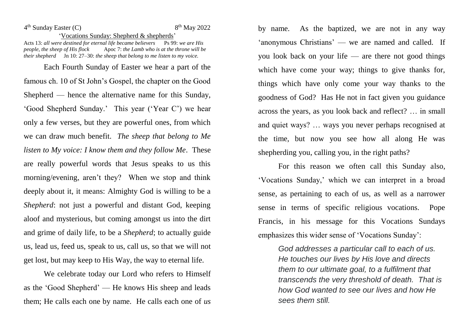4 th Sunday Easter (C) 8

## $8<sup>th</sup>$  May 2022

'Vocations Sunday: Shepherd & shepherds' Acts 13: *all were destined for eternal life became believers* Ps 99: *we are His people, the sheep of His flock* Apoc 7: *the Lamb who is at the throne will be their shepherd* Jn 10: 27–30: *the sheep that belong to me listen to my voice.* 

Each Fourth Sunday of Easter we hear a part of the famous ch. 10 of St John's Gospel, the chapter on the Good Shepherd — hence the alternative name for this Sunday, 'Good Shepherd Sunday.' This year ('Year C') we hear only a few verses, but they are powerful ones, from which we can draw much benefit. *The sheep that belong to Me listen to My voice: I know them and they follow Me. These* are really powerful words that Jesus speaks to us this morning/evening, aren't they? When we stop and think deeply about it, it means: Almighty God is willing to be a *Shepherd*: not just a powerful and distant God, keeping aloof and mysterious, but coming amongst us into the dirt and grime of daily life, to be a *Shepherd*; to actually guide us, lead us, feed us, speak to us, call us, so that we will not get lost, but may keep to His Way, the way to eternal life.

We celebrate today our Lord who refers to Himself as the 'Good Shepherd' — He knows His sheep and leads them; He calls each one by name. He calls each one of *us*

by name. As the baptized, we are not in any way 'anonymous Christians' — we are named and called. If you look back on your life — are there not good things which have come your way; things to give thanks for, things which have only come your way thanks to the goodness of God? Has He not in fact given you guidance across the years, as you look back and reflect? … in small and quiet ways? … ways you never perhaps recognised at the time, but now you see how all along He was shepherding you, calling you, in the right paths?

For this reason we often call this Sunday also, 'Vocations Sunday,' which we can interpret in a broad sense, as pertaining to each of us, as well as a narrower sense in terms of specific religious vocations. Pope Francis, in his message for this Vocations Sundays emphasizes this wider sense of 'Vocations Sunday':

> *God addresses a particular call to each of us. He touches our lives by His love and directs them to our ultimate goal, to a fulfilment that transcends the very threshold of death. That is how God wanted to see our lives and how He sees them still.*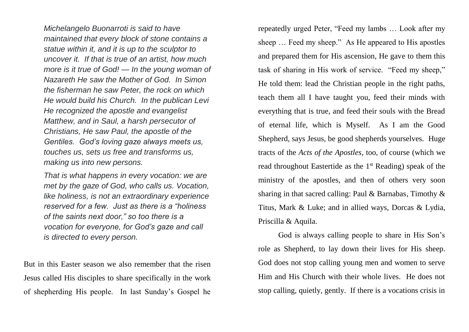*Michelangelo Buonarroti is said to have maintained that every block of stone contains a statue within it, and it is up to the sculptor to uncover it. If that is true of an artist, how much more is it true of God! — In the young woman of Nazareth He saw the Mother of God. In Simon the fisherman he saw Peter, the rock on which He would build his Church. In the publican Levi He recognized the apostle and evangelist Matthew, and in Saul, a harsh persecutor of Christians, He saw Paul, the apostle of the Gentiles. God's loving gaze always meets us, touches us, sets us free and transforms us, making us into new persons.*

*That is what happens in every vocation: we are met by the gaze of God, who calls us. Vocation, like holiness, is not an extraordinary experience reserved for a few. Just as there is a "holiness of the saints next door," so too there is a vocation for everyone, for God's gaze and call is directed to every person.*

But in this Easter season we also remember that the risen Jesus called His disciples to share specifically in the work of shepherding His people. In last Sunday's Gospel he

repeatedly urged Peter, "Feed my lambs … Look after my sheep … Feed my sheep." As He appeared to His apostles and prepared them for His ascension, He gave to them this task of sharing in His work of service. "Feed my sheep," He told them: lead the Christian people in the right paths, teach them all I have taught you, feed their minds with everything that is true, and feed their souls with the Bread of eternal life, which is Myself. As I am the Good Shepherd, says Jesus, be good shepherds yourselves. Huge tracts of the *Acts of the Apostles*, too, of course (which we read throughout Eastertide as the 1st Reading) speak of the ministry of the apostles, and then of others very soon sharing in that sacred calling: Paul & Barnabas, Timothy & Titus, Mark & Luke; and in allied ways, Dorcas & Lydia, Priscilla & Aquila.

God is always calling people to share in His Son's role as Shepherd, to lay down their lives for His sheep. God does not stop calling young men and women to serve Him and His Church with their whole lives. He does not stop calling, quietly, gently. If there is a vocations crisis in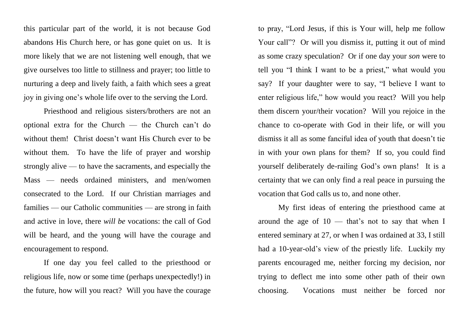this particular part of the world, it is not because God abandons His Church here, or has gone quiet on us. It is more likely that we are not listening well enough, that we give ourselves too little to stillness and prayer; too little to nurturing a deep and lively faith, a faith which sees a great joy in giving one's whole life over to the serving the Lord.

Priesthood and religious sisters/brothers are not an optional extra for the Church — the Church can't do without them! Christ doesn't want His Church ever to be without them. To have the life of prayer and worship strongly alive — to have the sacraments, and especially the Mass — needs ordained ministers, and men/women consecrated to the Lord. If our Christian marriages and families — our Catholic communities — are strong in faith and active in love, there *will be* vocations: the call of God will be heard, and the young will have the courage and encouragement to respond.

If one day you feel called to the priesthood or religious life, now or some time (perhaps unexpectedly!) in the future, how will you react? Will you have the courage to pray, "Lord Jesus, if this is Your will, help me follow Your call"? Or will you dismiss it, putting it out of mind as some crazy speculation? Or if one day your *son* were to tell you "I think I want to be a priest," what would you say? If your daughter were to say, "I believe I want to enter religious life," how would you react? Will you help them discern your/their vocation? Will you rejoice in the chance to co-operate with God in their life, or will you dismiss it all as some fanciful idea of youth that doesn't tie in with your own plans for them? If so, you could find yourself deliberately de-railing God's own plans! It is a certainty that we can only find a real peace in pursuing the vocation that God calls us to, and none other.

My first ideas of entering the priesthood came at around the age of  $10$  — that's not to say that when I entered seminary at 27, or when I was ordained at 33, I still had a 10-year-old's view of the priestly life. Luckily my parents encouraged me, neither forcing my decision, nor trying to deflect me into some other path of their own choosing. Vocations must neither be forced nor